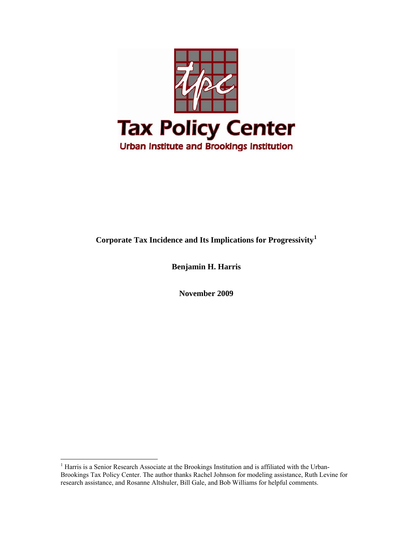

# **Corporate Tax Incidence and Its Implications for Progressivity[1](#page-0-0)**

**Benjamin H. Harris** 

**November 2009** 

<span id="page-0-0"></span><sup>&</sup>lt;sup>1</sup> Harris is a Senior Research Associate at the Brookings Institution and is affiliated with the Urban-Brookings Tax Policy Center. The author thanks Rachel Johnson for modeling assistance, Ruth Levine for research assistance, and Rosanne Altshuler, Bill Gale, and Bob Williams for helpful comments.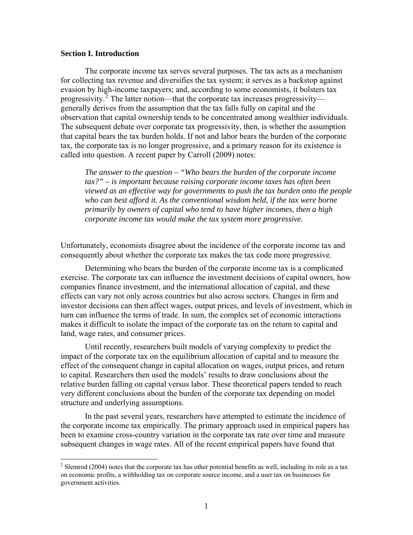#### **Section I. Introduction**

 $\overline{a}$ 

The corporate income tax serves several purposes. The tax acts as a mechanism for collecting tax revenue and diversifies the tax system; it serves as a backstop against evasion by high-income taxpayers; and, according to some economists, it bolsters tax progressivity.<sup>[2](#page-1-0)</sup> The latter notion—that the corporate tax increases progressivity generally derives from the assumption that the tax falls fully on capital and the observation that capital ownership tends to be concentrated among wealthier individuals. The subsequent debate over corporate tax progressivity, then, is whether the assumption that capital bears the tax burden holds. If not and labor bears the burden of the corporate tax, the corporate tax is no longer progressive, and a primary reason for its existence is called into question. A recent paper by Carroll (2009) notes:

*The answer to the question – "Who bears the burden of the corporate income tax?" – is important because raising corporate income taxes has often been viewed as an effective way for governments to push the tax burden onto the people*  who can best afford it. As the conventional wisdom held, if the tax were borne *primarily by owners of capital who tend to have higher incomes, then a high corporate income tax would make the tax system more progressive.* 

Unfortunately, economists disagree about the incidence of the corporate income tax and consequently about whether the corporate tax makes the tax code more progressive.

Determining who bears the burden of the corporate income tax is a complicated exercise. The corporate tax can influence the investment decisions of capital owners, how companies finance investment, and the international allocation of capital, and these effects can vary not only across countries but also across sectors. Changes in firm and investor decisions can then affect wages, output prices, and levels of investment, which in turn can influence the terms of trade. In sum, the complex set of economic interactions makes it difficult to isolate the impact of the corporate tax on the return to capital and land, wage rates, and consumer prices.

Until recently, researchers built models of varying complexity to predict the impact of the corporate tax on the equilibrium allocation of capital and to measure the effect of the consequent change in capital allocation on wages, output prices, and return to capital. Researchers then used the models' results to draw conclusions about the relative burden falling on capital versus labor. These theoretical papers tended to reach very different conclusions about the burden of the corporate tax depending on model structure and underlying assumptions.

In the past several years, researchers have attempted to estimate the incidence of the corporate income tax empirically. The primary approach used in empirical papers has been to examine cross-country variation in the corporate tax rate over time and measure subsequent changes in wage rates. All of the recent empirical papers have found that

<span id="page-1-0"></span> $2^2$  Slemrod (2004) notes that the corporate tax has other potential benefits as well, including its role as a tax on economic profits, a withholding tax on corporate source income, and a user tax on businesses for government activities.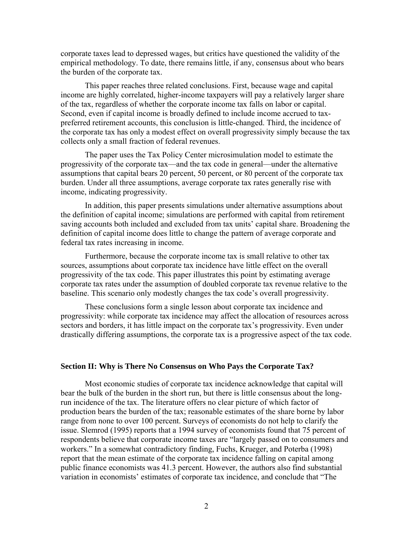corporate taxes lead to depressed wages, but critics have questioned the validity of the empirical methodology. To date, there remains little, if any, consensus about who bears the burden of the corporate tax.

This paper reaches three related conclusions. First, because wage and capital income are highly correlated, higher-income taxpayers will pay a relatively larger share of the tax, regardless of whether the corporate income tax falls on labor or capital. Second, even if capital income is broadly defined to include income accrued to taxpreferred retirement accounts, this conclusion is little-changed. Third, the incidence of the corporate tax has only a modest effect on overall progressivity simply because the tax collects only a small fraction of federal revenues.

The paper uses the Tax Policy Center microsimulation model to estimate the progressivity of the corporate tax—and the tax code in general—under the alternative assumptions that capital bears 20 percent, 50 percent, or 80 percent of the corporate tax burden. Under all three assumptions, average corporate tax rates generally rise with income, indicating progressivity.

In addition, this paper presents simulations under alternative assumptions about the definition of capital income; simulations are performed with capital from retirement saving accounts both included and excluded from tax units' capital share. Broadening the definition of capital income does little to change the pattern of average corporate and federal tax rates increasing in income.

 Furthermore, because the corporate income tax is small relative to other tax sources, assumptions about corporate tax incidence have little effect on the overall progressivity of the tax code. This paper illustrates this point by estimating average corporate tax rates under the assumption of doubled corporate tax revenue relative to the baseline. This scenario only modestly changes the tax code's overall progressivity.

 These conclusions form a single lesson about corporate tax incidence and progressivity: while corporate tax incidence may affect the allocation of resources across sectors and borders, it has little impact on the corporate tax's progressivity. Even under drastically differing assumptions, the corporate tax is a progressive aspect of the tax code.

#### **Section II: Why is There No Consensus on Who Pays the Corporate Tax?**

 Most economic studies of corporate tax incidence acknowledge that capital will bear the bulk of the burden in the short run, but there is little consensus about the longrun incidence of the tax. The literature offers no clear picture of which factor of production bears the burden of the tax; reasonable estimates of the share borne by labor range from none to over 100 percent. Surveys of economists do not help to clarify the issue. Slemrod (1995) reports that a 1994 survey of economists found that 75 percent of respondents believe that corporate income taxes are "largely passed on to consumers and workers." In a somewhat contradictory finding, Fuchs, Krueger, and Poterba (1998) report that the mean estimate of the corporate tax incidence falling on capital among public finance economists was 41.3 percent. However, the authors also find substantial variation in economists' estimates of corporate tax incidence, and conclude that "The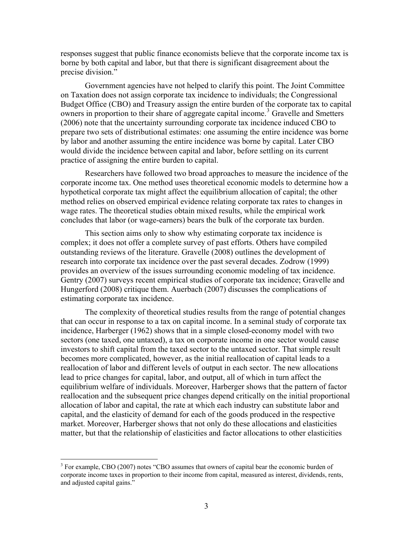responses suggest that public finance economists believe that the corporate income tax is borne by both capital and labor, but that there is significant disagreement about the precise division."

 Government agencies have not helped to clarify this point. The Joint Committee on Taxation does not assign corporate tax incidence to individuals; the Congressional Budget Office (CBO) and Treasury assign the entire burden of the corporate tax to capital owners in proportion to their share of aggregate capital income.<sup>[3](#page-3-0)</sup> Gravelle and Smetters (2006) note that the uncertainty surrounding corporate tax incidence induced CBO to prepare two sets of distributional estimates: one assuming the entire incidence was borne by labor and another assuming the entire incidence was borne by capital. Later CBO would divide the incidence between capital and labor, before settling on its current practice of assigning the entire burden to capital.

Researchers have followed two broad approaches to measure the incidence of the corporate income tax. One method uses theoretical economic models to determine how a hypothetical corporate tax might affect the equilibrium allocation of capital; the other method relies on observed empirical evidence relating corporate tax rates to changes in wage rates. The theoretical studies obtain mixed results, while the empirical work concludes that labor (or wage-earners) bears the bulk of the corporate tax burden.

This section aims only to show why estimating corporate tax incidence is complex; it does not offer a complete survey of past efforts. Others have compiled outstanding reviews of the literature. Gravelle (2008) outlines the development of research into corporate tax incidence over the past several decades. Zodrow (1999) provides an overview of the issues surrounding economic modeling of tax incidence. Gentry (2007) surveys recent empirical studies of corporate tax incidence; Gravelle and Hungerford (2008) critique them. Auerbach (2007) discusses the complications of estimating corporate tax incidence.

The complexity of theoretical studies results from the range of potential changes that can occur in response to a tax on capital income. In a seminal study of corporate tax incidence, Harberger (1962) shows that in a simple closed-economy model with two sectors (one taxed, one untaxed), a tax on corporate income in one sector would cause investors to shift capital from the taxed sector to the untaxed sector. That simple result becomes more complicated, however, as the initial reallocation of capital leads to a reallocation of labor and different levels of output in each sector. The new allocations lead to price changes for capital, labor, and output, all of which in turn affect the equilibrium welfare of individuals. Moreover, Harberger shows that the pattern of factor reallocation and the subsequent price changes depend critically on the initial proportional allocation of labor and capital, the rate at which each industry can substitute labor and capital, and the elasticity of demand for each of the goods produced in the respective market. Moreover, Harberger shows that not only do these allocations and elasticities matter, but that the relationship of elasticities and factor allocations to other elasticities

<span id="page-3-0"></span><sup>&</sup>lt;sup>3</sup> For example, CBO (2007) notes "CBO assumes that owners of capital bear the economic burden of corporate income taxes in proportion to their income from capital, measured as interest, dividends, rents, and adjusted capital gains."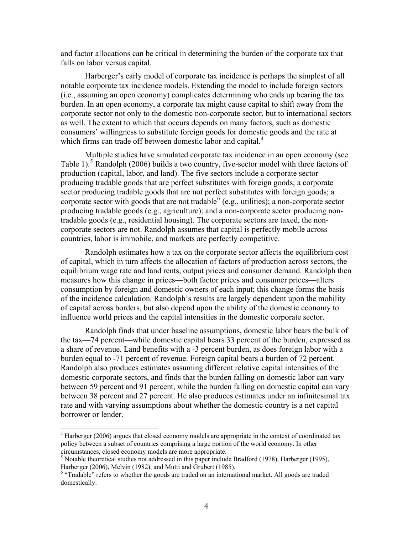and factor allocations can be critical in determining the burden of the corporate tax that falls on labor versus capital.

Harberger's early model of corporate tax incidence is perhaps the simplest of all notable corporate tax incidence models. Extending the model to include foreign sectors (i.e., assuming an open economy) complicates determining who ends up bearing the tax burden. In an open economy, a corporate tax might cause capital to shift away from the corporate sector not only to the domestic non-corporate sector, but to international sectors as well. The extent to which that occurs depends on many factors, such as domestic consumers' willingness to substitute foreign goods for domestic goods and the rate at which firms can trade off between domestic labor and capital.<sup>[4](#page-4-0)</sup>

Multiple studies have simulated corporate tax incidence in an open economy (see Table 1).<sup>[5](#page-4-1)</sup> Randolph (2006) builds a two country, five-sector model with three factors of production (capital, labor, and land). The five sectors include a corporate sector producing tradable goods that are perfect substitutes with foreign goods; a corporate sector producing tradable goods that are not perfect substitutes with foreign goods; a corporate sector with goods that are not tradable  $(e.g.,$  utilities); a non-corporate sector producing tradable goods (e.g., agriculture); and a non-corporate sector producing nontradable goods (e.g., residential housing). The corporate sectors are taxed, the noncorporate sectors are not. Randolph assumes that capital is perfectly mobile across countries, labor is immobile, and markets are perfectly competitive.

 Randolph estimates how a tax on the corporate sector affects the equilibrium cost of capital, which in turn affects the allocation of factors of production across sectors, the equilibrium wage rate and land rents, output prices and consumer demand. Randolph then measures how this change in prices—both factor prices and consumer prices—alters consumption by foreign and domestic owners of each input; this change forms the basis of the incidence calculation. Randolph's results are largely dependent upon the mobility of capital across borders, but also depend upon the ability of the domestic economy to influence world prices and the capital intensities in the domestic corporate sector.

Randolph finds that under baseline assumptions, domestic labor bears the bulk of the tax—74 percent—while domestic capital bears 33 percent of the burden, expressed as a share of revenue. Land benefits with a -3 percent burden, as does foreign labor with a burden equal to -71 percent of revenue. Foreign capital bears a burden of 72 percent. Randolph also produces estimates assuming different relative capital intensities of the domestic corporate sectors, and finds that the burden falling on domestic labor can vary between 59 percent and 91 percent, while the burden falling on domestic capital can vary between 38 percent and 27 percent. He also produces estimates under an infinitesimal tax rate and with varying assumptions about whether the domestic country is a net capital borrower or lender.

<span id="page-4-0"></span> $4$  Harberger (2006) argues that closed economy models are appropriate in the context of coordinated tax policy between a subset of countries comprising a large portion of the world economy. In other circumstances, closed economy models are more appropriate.

<span id="page-4-1"></span> $<sup>5</sup>$  Notable theoretical studies not addressed in this paper include Bradford (1978), Harberger (1995),</sup> Harberger (2006), Melvin (1982), and Mutti and Grubert (1985).

<span id="page-4-2"></span><sup>&</sup>lt;sup>6</sup> "Tradable" refers to whether the goods are traded on an international market. All goods are traded domestically.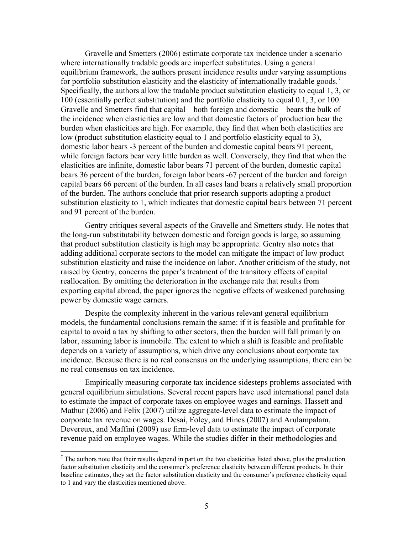Gravelle and Smetters (2006) estimate corporate tax incidence under a scenario where internationally tradable goods are imperfect substitutes. Using a general equilibrium framework, the authors present incidence results under varying assumptions for portfolio substitution elasticity and the elasticity of internationally tradable goods.<sup>[7](#page-5-0)</sup> Specifically, the authors allow the tradable product substitution elasticity to equal 1, 3, or 100 (essentially perfect substitution) and the portfolio elasticity to equal 0.1, 3, or 100. Gravelle and Smetters find that capital—both foreign and domestic—bears the bulk of the incidence when elasticities are low and that domestic factors of production bear the burden when elasticities are high. For example, they find that when both elasticities are low (product substitution elasticity equal to 1 and portfolio elasticity equal to 3), domestic labor bears -3 percent of the burden and domestic capital bears 91 percent, while foreign factors bear very little burden as well. Conversely, they find that when the elasticities are infinite, domestic labor bears 71 percent of the burden, domestic capital bears 36 percent of the burden, foreign labor bears -67 percent of the burden and foreign capital bears 66 percent of the burden. In all cases land bears a relatively small proportion of the burden. The authors conclude that prior research supports adopting a product substitution elasticity to 1, which indicates that domestic capital bears between 71 percent and 91 percent of the burden.

 Gentry critiques several aspects of the Gravelle and Smetters study. He notes that the long-run substitutability between domestic and foreign goods is large, so assuming that product substitution elasticity is high may be appropriate. Gentry also notes that adding additional corporate sectors to the model can mitigate the impact of low product substitution elasticity and raise the incidence on labor. Another criticism of the study, not raised by Gentry, concerns the paper's treatment of the transitory effects of capital reallocation. By omitting the deterioration in the exchange rate that results from exporting capital abroad, the paper ignores the negative effects of weakened purchasing power by domestic wage earners.

Despite the complexity inherent in the various relevant general equilibrium models, the fundamental conclusions remain the same: if it is feasible and profitable for capital to avoid a tax by shifting to other sectors, then the burden will fall primarily on labor, assuming labor is immobile. The extent to which a shift is feasible and profitable depends on a variety of assumptions, which drive any conclusions about corporate tax incidence. Because there is no real consensus on the underlying assumptions, there can be no real consensus on tax incidence.

Empirically measuring corporate tax incidence sidesteps problems associated with general equilibrium simulations. Several recent papers have used international panel data to estimate the impact of corporate taxes on employee wages and earnings. Hassett and Mathur (2006) and Felix (2007) utilize aggregate-level data to estimate the impact of corporate tax revenue on wages. Desai, Foley, and Hines (2007) and Arulampalam, Devereux, and Maffini (2009) use firm-level data to estimate the impact of corporate revenue paid on employee wages. While the studies differ in their methodologies and

<span id="page-5-0"></span> $<sup>7</sup>$  The authors note that their results depend in part on the two elasticities listed above, plus the production</sup> factor substitution elasticity and the consumer's preference elasticity between different products. In their baseline estimates, they set the factor substitution elasticity and the consumer's preference elasticity equal to 1 and vary the elasticities mentioned above.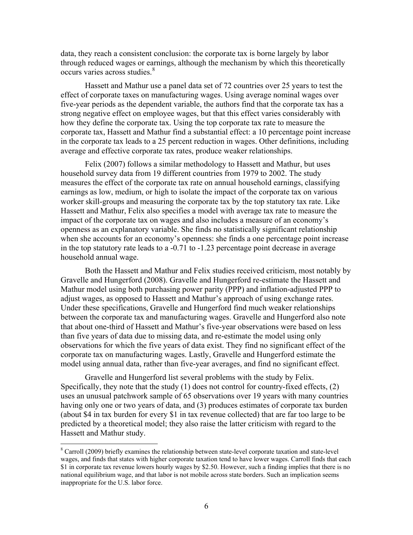data, they reach a consistent conclusion: the corporate tax is borne largely by labor through reduced wages or earnings, although the mechanism by which this theoretically occurs varies across studies.<sup>[8](#page-6-0)</sup>

Hassett and Mathur use a panel data set of 72 countries over 25 years to test the effect of corporate taxes on manufacturing wages. Using average nominal wages over five-year periods as the dependent variable, the authors find that the corporate tax has a strong negative effect on employee wages, but that this effect varies considerably with how they define the corporate tax. Using the top corporate tax rate to measure the corporate tax, Hassett and Mathur find a substantial effect: a 10 percentage point increase in the corporate tax leads to a 25 percent reduction in wages. Other definitions, including average and effective corporate tax rates, produce weaker relationships.

Felix (2007) follows a similar methodology to Hassett and Mathur, but uses household survey data from 19 different countries from 1979 to 2002. The study measures the effect of the corporate tax rate on annual household earnings, classifying earnings as low, medium, or high to isolate the impact of the corporate tax on various worker skill-groups and measuring the corporate tax by the top statutory tax rate. Like Hassett and Mathur, Felix also specifies a model with average tax rate to measure the impact of the corporate tax on wages and also includes a measure of an economy's openness as an explanatory variable. She finds no statistically significant relationship when she accounts for an economy's openness: she finds a one percentage point increase in the top statutory rate leads to a -0.71 to -1.23 percentage point decrease in average household annual wage.

 Both the Hassett and Mathur and Felix studies received criticism, most notably by Gravelle and Hungerford (2008). Gravelle and Hungerford re-estimate the Hassett and Mathur model using both purchasing power parity (PPP) and inflation-adjusted PPP to adjust wages, as opposed to Hassett and Mathur's approach of using exchange rates. Under these specifications, Gravelle and Hungerford find much weaker relationships between the corporate tax and manufacturing wages. Gravelle and Hungerford also note that about one-third of Hassett and Mathur's five-year observations were based on less than five years of data due to missing data, and re-estimate the model using only observations for which the five years of data exist. They find no significant effect of the corporate tax on manufacturing wages. Lastly, Gravelle and Hungerford estimate the model using annual data, rather than five-year averages, and find no significant effect.

 Gravelle and Hungerford list several problems with the study by Felix. Specifically, they note that the study (1) does not control for country-fixed effects, (2) uses an unusual patchwork sample of 65 observations over 19 years with many countries having only one or two years of data, and (3) produces estimates of corporate tax burden (about \$4 in tax burden for every \$1 in tax revenue collected) that are far too large to be predicted by a theoretical model; they also raise the latter criticism with regard to the Hassett and Mathur study.

<span id="page-6-0"></span><sup>&</sup>lt;sup>8</sup> Carroll (2009) briefly examines the relationship between state-level corporate taxation and state-level wages, and finds that states with higher corporate taxation tend to have lower wages. Carroll finds that each \$1 in corporate tax revenue lowers hourly wages by \$2.50. However, such a finding implies that there is no national equilibrium wage, and that labor is not mobile across state borders. Such an implication seems inappropriate for the U.S. labor force.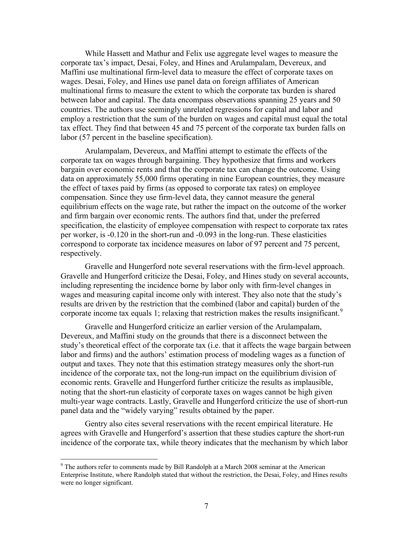While Hassett and Mathur and Felix use aggregate level wages to measure the corporate tax's impact, Desai, Foley, and Hines and Arulampalam, Devereux, and Maffini use multinational firm-level data to measure the effect of corporate taxes on wages. Desai, Foley, and Hines use panel data on foreign affiliates of American multinational firms to measure the extent to which the corporate tax burden is shared between labor and capital. The data encompass observations spanning 25 years and 50 countries. The authors use seemingly unrelated regressions for capital and labor and employ a restriction that the sum of the burden on wages and capital must equal the total tax effect. They find that between 45 and 75 percent of the corporate tax burden falls on labor (57 percent in the baseline specification).

Arulampalam, Devereux, and Maffini attempt to estimate the effects of the corporate tax on wages through bargaining. They hypothesize that firms and workers bargain over economic rents and that the corporate tax can change the outcome. Using data on approximately 55,000 firms operating in nine European countries, they measure the effect of taxes paid by firms (as opposed to corporate tax rates) on employee compensation. Since they use firm-level data, they cannot measure the general equilibrium effects on the wage rate, but rather the impact on the outcome of the worker and firm bargain over economic rents. The authors find that, under the preferred specification, the elasticity of employee compensation with respect to corporate tax rates per worker, is -0.120 in the short-run and -0.093 in the long-run. These elasticities correspond to corporate tax incidence measures on labor of 97 percent and 75 percent, respectively.

 Gravelle and Hungerford note several reservations with the firm-level approach. Gravelle and Hungerford criticize the Desai, Foley, and Hines study on several accounts, including representing the incidence borne by labor only with firm-level changes in wages and measuring capital income only with interest. They also note that the study's results are driven by the restriction that the combined (labor and capital) burden of the corporate income tax equals 1; relaxing that restriction makes the results insignificant.<sup>[9](#page-7-0)</sup>

Gravelle and Hungerford criticize an earlier version of the Arulampalam, Devereux, and Maffini study on the grounds that there is a disconnect between the study's theoretical effect of the corporate tax (i.e. that it affects the wage bargain between labor and firms) and the authors' estimation process of modeling wages as a function of output and taxes. They note that this estimation strategy measures only the short-run incidence of the corporate tax, not the long-run impact on the equilibrium division of economic rents. Gravelle and Hungerford further criticize the results as implausible, noting that the short-run elasticity of corporate taxes on wages cannot be high given multi-year wage contracts. Lastly, Gravelle and Hungerford criticize the use of short-run panel data and the "widely varying" results obtained by the paper.

Gentry also cites several reservations with the recent empirical literature. He agrees with Gravelle and Hungerford's assertion that these studies capture the short-run incidence of the corporate tax, while theory indicates that the mechanism by which labor

<span id="page-7-0"></span> $9$  The authors refer to comments made by Bill Randolph at a March 2008 seminar at the American Enterprise Institute, where Randolph stated that without the restriction, the Desai, Foley, and Hines results were no longer significant.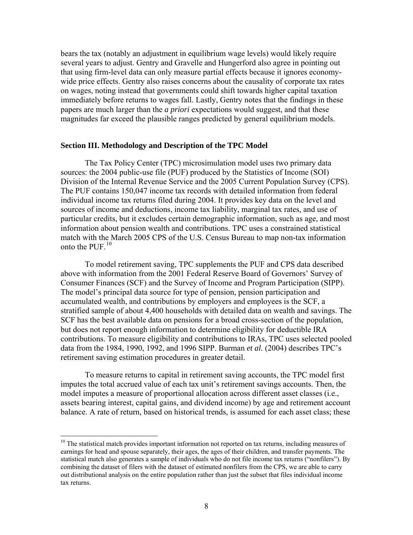bears the tax (notably an adjustment in equilibrium wage levels) would likely require several years to adjust. Gentry and Gravelle and Hungerford also agree in pointing out that using firm-level data can only measure partial effects because it ignores economywide price effects. Gentry also raises concerns about the causality of corporate tax rates on wages, noting instead that governments could shift towards higher capital taxation immediately before returns to wages fall. Lastly, Gentry notes that the findings in these papers are much larger than the *a priori* expectations would suggest, and that these magnitudes far exceed the plausible ranges predicted by general equilibrium models.

#### **Section III. Methodology and Description of the TPC Model**

The Tax Policy Center (TPC) microsimulation model uses two primary data sources: the 2004 public-use file (PUF) produced by the Statistics of Income (SOI) Division of the Internal Revenue Service and the 2005 Current Population Survey (CPS). The PUF contains 150,047 income tax records with detailed information from federal individual income tax returns filed during 2004. It provides key data on the level and sources of income and deductions, income tax liability, marginal tax rates, and use of particular credits, but it excludes certain demographic information, such as age, and most information about pension wealth and contributions. TPC uses a constrained statistical match with the March 2005 CPS of the U.S. Census Bureau to map non-tax information onto the PUF.[10](#page-8-0)

To model retirement saving, TPC supplements the PUF and CPS data described above with information from the 2001 Federal Reserve Board of Governors' Survey of Consumer Finances (SCF) and the Survey of Income and Program Participation (SIPP). The model's principal data source for type of pension, pension participation and accumulated wealth, and contributions by employers and employees is the SCF, a stratified sample of about 4,400 households with detailed data on wealth and savings. The SCF has the best available data on pensions for a broad cross-section of the population, but does not report enough information to determine eligibility for deductible IRA contributions. To measure eligibility and contributions to IRAs, TPC uses selected pooled data from the 1984, 1990, 1992, and 1996 SIPP. Burman *et al.* (2004) describes TPC's retirement saving estimation procedures in greater detail.

To measure returns to capital in retirement saving accounts, the TPC model first imputes the total accrued value of each tax unit's retirement savings accounts. Then, the model imputes a measure of proportional allocation across different asset classes (i.e., assets bearing interest, capital gains, and dividend income) by age and retirement account balance. A rate of return, based on historical trends, is assumed for each asset class; these

<span id="page-8-0"></span><sup>&</sup>lt;sup>10</sup> The statistical match provides important information not reported on tax returns, including measures of earnings for head and spouse separately, their ages, the ages of their children, and transfer payments. The statistical match also generates a sample of individuals who do not file income tax returns ("nonfilers"). By combining the dataset of filers with the dataset of estimated nonfilers from the CPS, we are able to carry out distributional analysis on the entire population rather than just the subset that files individual income tax returns.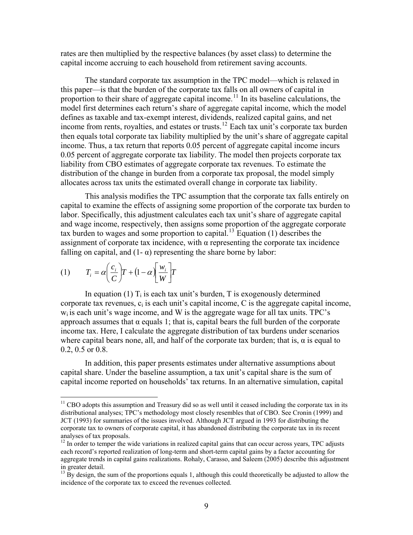rates are then multiplied by the respective balances (by asset class) to determine the capital income accruing to each household from retirement saving accounts.

The standard corporate tax assumption in the TPC model—which is relaxed in this paper—is that the burden of the corporate tax falls on all owners of capital in proportion to their share of aggregate capital income.<sup>[11](#page-9-0)</sup> In its baseline calculations, the model first determines each return's share of aggregate capital income, which the model defines as taxable and tax-exempt interest, dividends, realized capital gains, and net income from rents, royalties, and estates or trusts.[12](#page-9-1) Each tax unit's corporate tax burden then equals total corporate tax liability multiplied by the unit's share of aggregate capital income. Thus, a tax return that reports 0.05 percent of aggregate capital income incurs 0.05 percent of aggregate corporate tax liability. The model then projects corporate tax liability from CBO estimates of aggregate corporate tax revenues. To estimate the distribution of the change in burden from a corporate tax proposal, the model simply allocates across tax units the estimated overall change in corporate tax liability.

This analysis modifies the TPC assumption that the corporate tax falls entirely on capital to examine the effects of assigning some proportion of the corporate tax burden to labor. Specifically, this adjustment calculates each tax unit's share of aggregate capital and wage income, respectively, then assigns some proportion of the aggregate corporate tax burden to wages and some proportion to capital.<sup>[13](#page-9-2)</sup> Equation (1) describes the assignment of corporate tax incidence, with  $\alpha$  representing the corporate tax incidence falling on capital, and  $(1 - \alpha)$  representing the share borne by labor:

$$
(1) \tT_i = \alpha \left(\frac{c_i}{C}\right) T + \left(1 - \alpha \right) \left[\frac{w_i}{W}\right] T
$$

 $\overline{a}$ 

In equation (1)  $T_i$  is each tax unit's burden, T is exogenously determined corporate tax revenues,  $c_i$  is each unit's capital income, C is the aggregate capital income,  $w<sub>i</sub>$  is each unit's wage income, and W is the aggregate wage for all tax units. TPC's approach assumes that  $\alpha$  equals 1; that is, capital bears the full burden of the corporate income tax. Here, I calculate the aggregate distribution of tax burdens under scenarios where capital bears none, all, and half of the corporate tax burden; that is,  $\alpha$  is equal to 0.2, 0.5 or 0.8.

In addition, this paper presents estimates under alternative assumptions about capital share. Under the baseline assumption, a tax unit's capital share is the sum of capital income reported on households' tax returns. In an alternative simulation, capital

<span id="page-9-0"></span> $11$  CBO adopts this assumption and Treasury did so as well until it ceased including the corporate tax in its distributional analyses; TPC's methodology most closely resembles that of CBO. See Cronin (1999) and JCT (1993) for summaries of the issues involved. Although JCT argued in 1993 for distributing the corporate tax to owners of corporate capital, it has abandoned distributing the corporate tax in its recent analyses of tax proposals.

<span id="page-9-1"></span> $12 \text{ In order to temper the wide variations in realized capital gains that can occur across years, TPC adjusts }$ each record's reported realization of long-term and short-term capital gains by a factor accounting for aggregate trends in capital gains realizations. Rohaly, Carasso, and Saleem (2005) describe this adjustment in greater detail.

<span id="page-9-2"></span> $^{13}$  By design, the sum of the proportions equals 1, although this could theoretically be adjusted to allow the incidence of the corporate tax to exceed the revenues collected.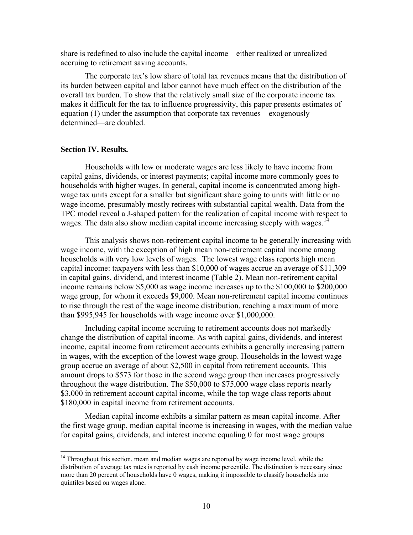share is redefined to also include the capital income—either realized or unrealized accruing to retirement saving accounts.

The corporate tax's low share of total tax revenues means that the distribution of its burden between capital and labor cannot have much effect on the distribution of the overall tax burden. To show that the relatively small size of the corporate income tax makes it difficult for the tax to influence progressivity, this paper presents estimates of equation (1) under the assumption that corporate tax revenues—exogenously determined—are doubled.

### **Section IV. Results.**

 $\overline{a}$ 

Households with low or moderate wages are less likely to have income from capital gains, dividends, or interest payments; capital income more commonly goes to households with higher wages. In general, capital income is concentrated among highwage tax units except for a smaller but significant share going to units with little or no wage income, presumably mostly retirees with substantial capital wealth. Data from the TPC model reveal a J-shaped pattern for the realization of capital income with respect to wages. The data also show median capital income increasing steeply with wages.<sup>[14](#page-10-0)</sup>

This analysis shows non-retirement capital income to be generally increasing with wage income, with the exception of high mean non-retirement capital income among households with very low levels of wages. The lowest wage class reports high mean capital income: taxpayers with less than \$10,000 of wages accrue an average of \$11,309 in capital gains, dividend, and interest income (Table 2). Mean non-retirement capital income remains below \$5,000 as wage income increases up to the \$100,000 to \$200,000 wage group, for whom it exceeds \$9,000. Mean non-retirement capital income continues to rise through the rest of the wage income distribution, reaching a maximum of more than \$995,945 for households with wage income over \$1,000,000.

 Including capital income accruing to retirement accounts does not markedly change the distribution of capital income. As with capital gains, dividends, and interest income, capital income from retirement accounts exhibits a generally increasing pattern in wages, with the exception of the lowest wage group. Households in the lowest wage group accrue an average of about \$2,500 in capital from retirement accounts. This amount drops to \$573 for those in the second wage group then increases progressively throughout the wage distribution. The \$50,000 to \$75,000 wage class reports nearly \$3,000 in retirement account capital income, while the top wage class reports about \$180,000 in capital income from retirement accounts.

 Median capital income exhibits a similar pattern as mean capital income. After the first wage group, median capital income is increasing in wages, with the median value for capital gains, dividends, and interest income equaling 0 for most wage groups

<span id="page-10-0"></span> $14$  Throughout this section, mean and median wages are reported by wage income level, while the distribution of average tax rates is reported by cash income percentile. The distinction is necessary since more than 20 percent of households have 0 wages, making it impossible to classify households into quintiles based on wages alone.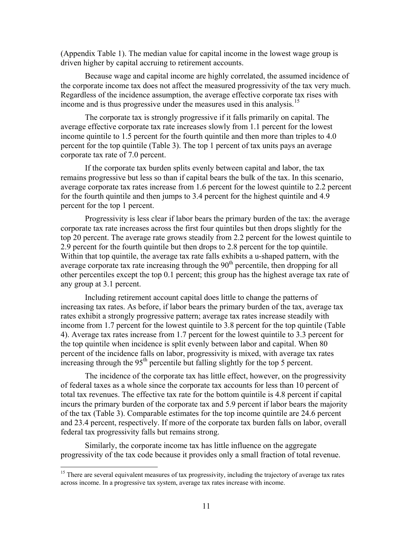(Appendix Table 1). The median value for capital income in the lowest wage group is driven higher by capital accruing to retirement accounts.

Because wage and capital income are highly correlated, the assumed incidence of the corporate income tax does not affect the measured progressivity of the tax very much. Regardless of the incidence assumption, the average effective corporate tax rises with income and is thus progressive under the measures used in this analysis.<sup>[15](#page-11-0)</sup>

The corporate tax is strongly progressive if it falls primarily on capital. The average effective corporate tax rate increases slowly from 1.1 percent for the lowest income quintile to 1.5 percent for the fourth quintile and then more than triples to 4.0 percent for the top quintile (Table 3). The top 1 percent of tax units pays an average corporate tax rate of 7.0 percent.

If the corporate tax burden splits evenly between capital and labor, the tax remains progressive but less so than if capital bears the bulk of the tax. In this scenario, average corporate tax rates increase from 1.6 percent for the lowest quintile to 2.2 percent for the fourth quintile and then jumps to 3.4 percent for the highest quintile and 4.9 percent for the top 1 percent.

Progressivity is less clear if labor bears the primary burden of the tax: the average corporate tax rate increases across the first four quintiles but then drops slightly for the top 20 percent. The average rate grows steadily from 2.2 percent for the lowest quintile to 2.9 percent for the fourth quintile but then drops to 2.8 percent for the top quintile. Within that top quintile, the average tax rate falls exhibits a u-shaped pattern, with the average corporate tax rate increasing through the  $90<sup>th</sup>$  percentile, then dropping for all other percentiles except the top 0.1 percent; this group has the highest average tax rate of any group at 3.1 percent.

Including retirement account capital does little to change the patterns of increasing tax rates. As before, if labor bears the primary burden of the tax, average tax rates exhibit a strongly progressive pattern; average tax rates increase steadily with income from 1.7 percent for the lowest quintile to 3.8 percent for the top quintile (Table 4). Average tax rates increase from 1.7 percent for the lowest quintile to 3.3 percent for the top quintile when incidence is split evenly between labor and capital. When 80 percent of the incidence falls on labor, progressivity is mixed, with average tax rates increasing through the  $95<sup>th</sup>$  percentile but falling slightly for the top 5 percent.

The incidence of the corporate tax has little effect, however, on the progressivity of federal taxes as a whole since the corporate tax accounts for less than 10 percent of total tax revenues. The effective tax rate for the bottom quintile is 4.8 percent if capital incurs the primary burden of the corporate tax and 5.9 percent if labor bears the majority of the tax (Table 3). Comparable estimates for the top income quintile are 24.6 percent and 23.4 percent, respectively. If more of the corporate tax burden falls on labor, overall federal tax progressivity falls but remains strong.

 Similarly, the corporate income tax has little influence on the aggregate progressivity of the tax code because it provides only a small fraction of total revenue.

<span id="page-11-0"></span><sup>&</sup>lt;sup>15</sup> There are several equivalent measures of tax progressivity, including the trajectory of average tax rates across income. In a progressive tax system, average tax rates increase with income.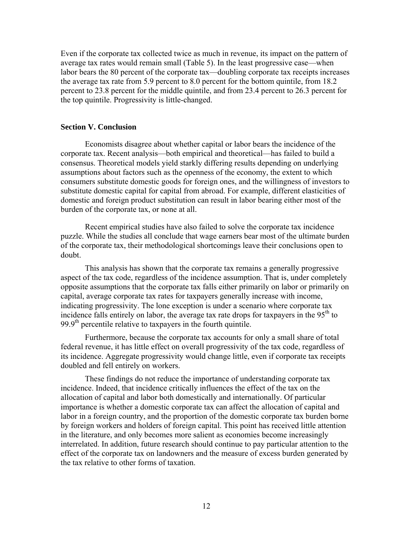Even if the corporate tax collected twice as much in revenue, its impact on the pattern of average tax rates would remain small (Table 5). In the least progressive case—when labor bears the 80 percent of the corporate tax—doubling corporate tax receipts increases the average tax rate from 5.9 percent to 8.0 percent for the bottom quintile, from 18.2 percent to 23.8 percent for the middle quintile, and from 23.4 percent to 26.3 percent for the top quintile. Progressivity is little-changed.

#### **Section V. Conclusion**

Economists disagree about whether capital or labor bears the incidence of the corporate tax. Recent analysis—both empirical and theoretical—has failed to build a consensus. Theoretical models yield starkly differing results depending on underlying assumptions about factors such as the openness of the economy, the extent to which consumers substitute domestic goods for foreign ones, and the willingness of investors to substitute domestic capital for capital from abroad. For example, different elasticities of domestic and foreign product substitution can result in labor bearing either most of the burden of the corporate tax, or none at all.

 Recent empirical studies have also failed to solve the corporate tax incidence puzzle. While the studies all conclude that wage earners bear most of the ultimate burden of the corporate tax, their methodological shortcomings leave their conclusions open to doubt.

This analysis has shown that the corporate tax remains a generally progressive aspect of the tax code, regardless of the incidence assumption. That is, under completely opposite assumptions that the corporate tax falls either primarily on labor or primarily on capital, average corporate tax rates for taxpayers generally increase with income, indicating progressivity. The lone exception is under a scenario where corporate tax incidence falls entirely on labor, the average tax rate drops for taxpayers in the  $95<sup>th</sup>$  to 99.9<sup>th</sup> percentile relative to taxpayers in the fourth quintile.

 Furthermore, because the corporate tax accounts for only a small share of total federal revenue, it has little effect on overall progressivity of the tax code, regardless of its incidence. Aggregate progressivity would change little, even if corporate tax receipts doubled and fell entirely on workers.

 These findings do not reduce the importance of understanding corporate tax incidence. Indeed, that incidence critically influences the effect of the tax on the allocation of capital and labor both domestically and internationally. Of particular importance is whether a domestic corporate tax can affect the allocation of capital and labor in a foreign country, and the proportion of the domestic corporate tax burden borne by foreign workers and holders of foreign capital. This point has received little attention in the literature, and only becomes more salient as economies become increasingly interrelated. In addition, future research should continue to pay particular attention to the effect of the corporate tax on landowners and the measure of excess burden generated by the tax relative to other forms of taxation.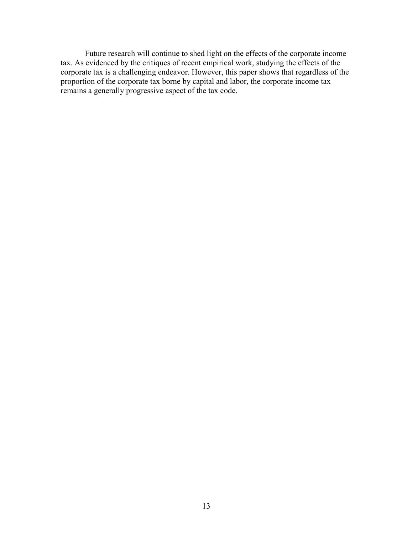Future research will continue to shed light on the effects of the corporate income tax. As evidenced by the critiques of recent empirical work, studying the effects of the corporate tax is a challenging endeavor. However, this paper shows that regardless of the proportion of the corporate tax borne by capital and labor, the corporate income tax remains a generally progressive aspect of the tax code.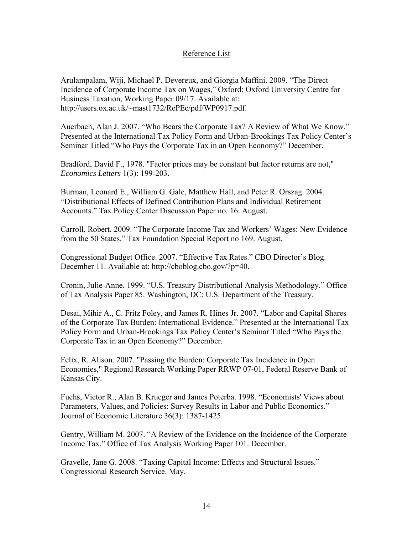### Reference List

Arulampalam, Wiji, Michael P. Devereux, and Giorgia Maffini. 2009. "The Direct Incidence of Corporate Income Tax on Wages," Oxford: Oxford University Centre for Business Taxation, Working Paper 09/17. Available at: http://users.ox.ac.uk/~mast1732/RePEc/pdf/WP0917.pdf.

Auerbach, Alan J. 2007. "Who Bears the Corporate Tax? A Review of What We Know." Presented at the International Tax Policy Form and Urban-Brookings Tax Policy Center's Seminar Titled "Who Pays the Corporate Tax in an Open Economy?" December.

Bradford, David F., 1978. "Factor prices may be constant but factor returns are not," *Economics Letters* 1(3): 199-203.

Burman, Leonard E., William G. Gale, Matthew Hall, and Peter R. Orszag. 2004. "Distributional Effects of Defined Contribution Plans and Individual Retirement Accounts." Tax Policy Center Discussion Paper no. 16. August.

Carroll, Robert. 2009. "The Corporate Income Tax and Workers' Wages: New Evidence from the 50 States." Tax Foundation Special Report no 169. August.

Congressional Budget Office. 2007. "Effective Tax Rates." CBO Director's Blog. December 11. Available at: http://cboblog.cbo.gov/?p=40.

Cronin, Julie-Anne. 1999. "U.S. Treasury Distributional Analysis Methodology." Office of Tax Analysis Paper 85. Washington, DC: U.S. Department of the Treasury.

Desai, Mihir A., C. Fritz Foley, and James R. Hines Jr. 2007. "Labor and Capital Shares of the Corporate Tax Burden: International Evidence." Presented at the International Tax Policy Form and Urban-Brookings Tax Policy Center's Seminar Titled "Who Pays the Corporate Tax in an Open Economy?" December.

Felix, R. Alison. 2007. "Passing the Burden: Corporate Tax Incidence in Open Economies," Regional Research Working Paper RRWP 07-01, Federal Reserve Bank of Kansas City.

Fuchs, Victor R., Alan B. Krueger and James Poterba. 1998. "Economists' Views about Parameters, Values, and Policies: Survey Results in Labor and Public Economics." Journal of Economic Literature 36(3): 1387-1425.

Gentry, William M. 2007. "A Review of the Evidence on the Incidence of the Corporate Income Tax." Office of Tax Analysis Working Paper 101. December.

Gravelle, Jane G. 2008. "Taxing Capital Income: Effects and Structural Issues." Congressional Research Service. May.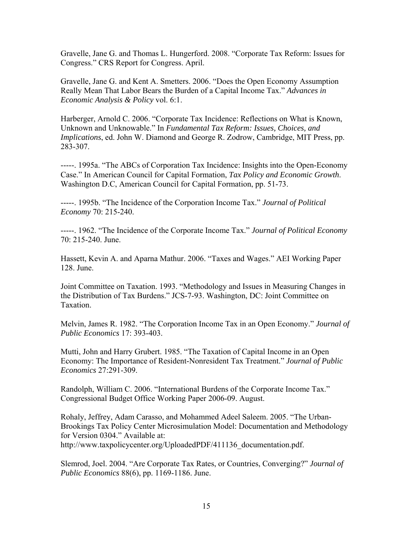Gravelle, Jane G. and Thomas L. Hungerford. 2008. "Corporate Tax Reform: Issues for Congress." CRS Report for Congress. April.

Gravelle, Jane G. and Kent A. Smetters. 2006. "Does the Open Economy Assumption Really Mean That Labor Bears the Burden of a Capital Income Tax." *Advances in Economic Analysis & Policy* vol. 6:1.

Harberger, Arnold C. 2006. "Corporate Tax Incidence: Reflections on What is Known, Unknown and Unknowable." In *Fundamental Tax Reform: Issues, Choices, and Implications*, ed. John W. Diamond and George R. Zodrow, Cambridge, MIT Press, pp. 283-307.

-----. 1995a. "The ABCs of Corporation Tax Incidence: Insights into the Open-Economy Case." In American Council for Capital Formation, *Tax Policy and Economic Growth*. Washington D.C, American Council for Capital Formation, pp. 51-73.

-----. 1995b. "The Incidence of the Corporation Income Tax." *Journal of Political Economy* 70: 215-240.

-----. 1962. "The Incidence of the Corporate Income Tax." *Journal of Political Economy* 70: 215-240. June.

Hassett, Kevin A. and Aparna Mathur. 2006. "Taxes and Wages." AEI Working Paper 128. June.

Joint Committee on Taxation. 1993. "Methodology and Issues in Measuring Changes in the Distribution of Tax Burdens." JCS-7-93. Washington, DC: Joint Committee on Taxation.

Melvin, James R. 1982. "The Corporation Income Tax in an Open Economy." *Journal of Public Economics* 17: 393-403.

Mutti, John and Harry Grubert. 1985. "The Taxation of Capital Income in an Open Economy: The Importance of Resident-Nonresident Tax Treatment." *Journal of Public Economics* 27:291-309.

Randolph, William C. 2006. "International Burdens of the Corporate Income Tax." Congressional Budget Office Working Paper 2006-09. August.

Rohaly, Jeffrey, Adam Carasso, and Mohammed Adeel Saleem. 2005. "The Urban-Brookings Tax Policy Center Microsimulation Model: Documentation and Methodology for Version 0304." Available at: http://www.taxpolicycenter.org/UploadedPDF/411136\_documentation.pdf.

Slemrod, Joel. 2004. "Are Corporate Tax Rates, or Countries, Converging?" *Journal of Public Economics* 88(6), pp. 1169-1186. June.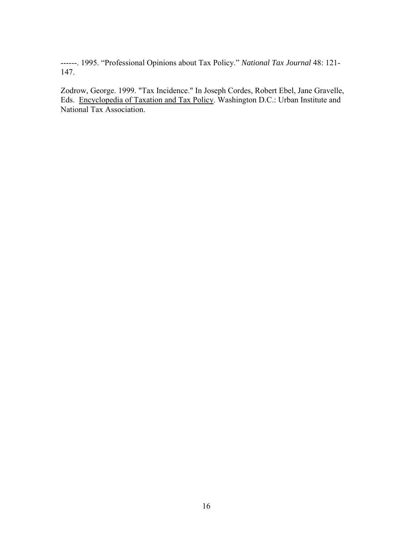------. 1995. "Professional Opinions about Tax Policy." *National Tax Journal* 48: 121- 147.

Zodrow, George. 1999. "Tax Incidence." In Joseph Cordes, Robert Ebel, Jane Gravelle, Eds. Encyclopedia of Taxation and Tax Policy. Washington D.C.: Urban Institute and National Tax Association.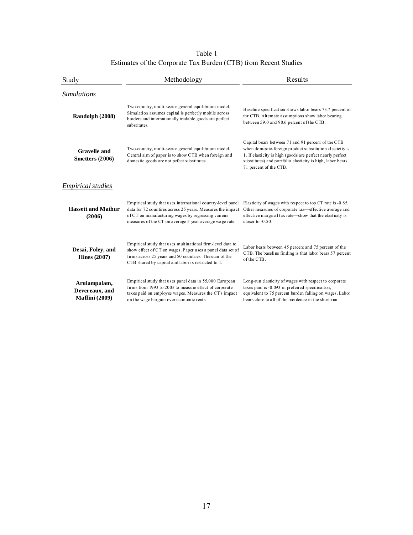Estimates of the Corporate Tax Burden (CTB) from Recent Studies Table 1

| Study                                                   | Methodology                                                                                                                                                                                                                                | Results                                                                                                                                                                                                                                                               |  |  |  |
|---------------------------------------------------------|--------------------------------------------------------------------------------------------------------------------------------------------------------------------------------------------------------------------------------------------|-----------------------------------------------------------------------------------------------------------------------------------------------------------------------------------------------------------------------------------------------------------------------|--|--|--|
| <i>Simulations</i>                                      |                                                                                                                                                                                                                                            |                                                                                                                                                                                                                                                                       |  |  |  |
| Randolph (2008)                                         | Two-country, multi-sector general equilibrium model.<br>Simulation assumes capital is perfectly mobile across<br>borders and internationally tradable goods are perfect<br>substitutes.                                                    | Baseline specification shows labor bears 73.7 percent of<br>thr CTB. Alternate assumptions show labor bearing<br>between 59.0 and 90.6 percent of the CTB.                                                                                                            |  |  |  |
| <b>Gravelle and</b><br>Smetters (2006)                  | Two-country, multi-sector general equilibrium model.<br>Central aim of paper is to show CTB when foreign and<br>domestic goods are not pefect substitutes.                                                                                 | Capital bears between 71 and 91 percent of the CTB<br>when domestic-foreign product substitution elasticity is<br>1. If elasticity is high (goods are perfect nearly perfect)<br>substitutes) and portfolio elasticity is high, labor bears<br>71 percent of the CTB. |  |  |  |
| <i>Empirical studies</i>                                |                                                                                                                                                                                                                                            |                                                                                                                                                                                                                                                                       |  |  |  |
| <b>Hassett and Mathur</b><br>(2006)                     | Empirical study that uses international country-level panel<br>data for 72 countires across 25 years. Measures the impact<br>of CT on manufacturing wages by regressing various<br>measures of the CT on average 5 year average wage rate. | Elasticity of wages with respect to top CT rate is -0.85.<br>Other measures of corporate tax—effective average and<br>effective marginal tax rate—show that the elasticity is<br>closer to $-0.50$ .                                                                  |  |  |  |
| Desai, Foley, and<br><b>Hines (2007)</b>                | Empirical study that uses multinational firm-level data to<br>show effect of CT on wages. Paper uses a panel data set of<br>firms across 25 years and 50 countries. The sum of the<br>CTB shared by capital and labor is restricted to 1.  | Labor bears between 45 percent and 75 percent of the<br>CTB. The baseline finding is that labor bears 57 percent<br>of the CTB.                                                                                                                                       |  |  |  |
| Arulampalam,<br>Devereaux, and<br><b>Maffini</b> (2009) | Empirical study that uses panel data in 55,000 European<br>firms from 1993 to 2003 to measure effect of corporate<br>taxes paid on employee wages. Measures the CTs impact<br>on the wage bargain over economic rents.                     | Long-run elasticity of wages with respect to corporate<br>taxes paid is -0.093 in preferred specificaiton,<br>equivalent to 75 percent burden falling on wages. Labor<br>bears close to all of the incidence in the short-run.                                        |  |  |  |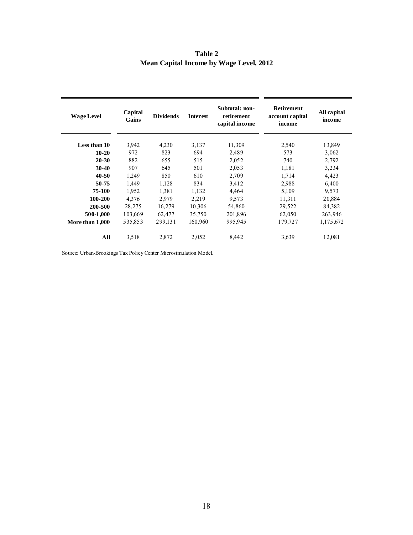| <b>Wage Level</b>      | Capital<br>Gains | <b>Dividends</b> | Interest | Subtotal: non-<br>retirement<br>capital income | Retirement<br>account capital<br>income | All capital<br><i>income</i> |
|------------------------|------------------|------------------|----------|------------------------------------------------|-----------------------------------------|------------------------------|
| Less than 10           | 3,942            | 4,230            | 3,137    | 11,309                                         | 2,540                                   | 13,849                       |
| $10 - 20$              | 972              | 823              | 694      | 2,489                                          | 573                                     | 3,062                        |
| $20 - 30$              | 882              | 655              | 515      | 2,052                                          | 740                                     | 2,792                        |
| $30-40$                | 907              | 645              | 501      | 2,053                                          | 1,181                                   | 3,234                        |
| 40-50                  | 1,249            | 850              | 610      | 2,709                                          | 1,714                                   | 4,423                        |
| 50-75                  | 1,449            | 1,128            | 834      | 3,412                                          | 2,988                                   | 6,400                        |
| 75-100                 | 1.952            | 1,381            | 1,132    | 4,464                                          | 5,109                                   | 9,573                        |
| 100-200                | 4,376            | 2,979            | 2,219    | 9,573                                          | 11,311                                  | 20,884                       |
| 200-500                | 28,275           | 16,279           | 10,306   | 54,860                                         | 29,522                                  | 84,382                       |
| 500-1,000              | 103,669          | 62,477           | 35,750   | 201,896                                        | 62,050                                  | 263,946                      |
| <b>More than 1,000</b> | 535,853          | 299,131          | 160,960  | 995,945                                        | 179,727                                 | 1,175,672                    |
| All                    | 3,518            | 2,872            | 2,052    | 8,442                                          | 3,639                                   | 12,081                       |

**Table 2 Mean Capital Income by Wage Level, 2012**

Source: Urban-Brookings Tax Policy Center Microsimulation Model.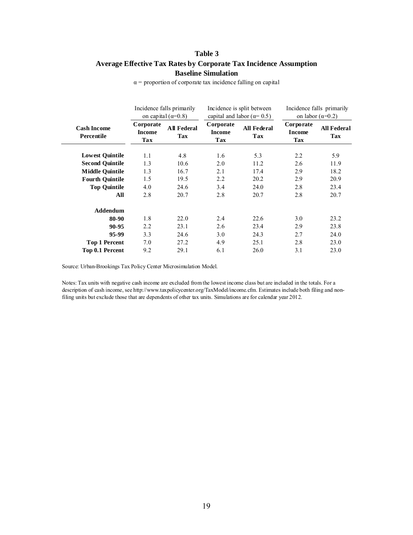### **Baseline Simulation Table 3 Average Effective Tax Rates by Corporate Tax Incidence Assumption**

|                                  | Incidence falls primarily<br>on capital $(\alpha=0.8)$ |                           | Incidence is split between<br>capital and labor ( $\alpha$ = 0.5) |                           | Incidence falls primarily<br>on labor $(\alpha=0.2)$ |                           |
|----------------------------------|--------------------------------------------------------|---------------------------|-------------------------------------------------------------------|---------------------------|------------------------------------------------------|---------------------------|
| <b>Cash Income</b><br>Percentile | Corporate<br><b>Income</b><br>Tax                      | <b>All Federal</b><br>Tax | Corporate<br><b>Income</b><br>Tax                                 | <b>All Federal</b><br>Tax | Corporate<br><b>Income</b><br><b>Tax</b>             | <b>All Federal</b><br>Tax |
| <b>Lowest Quintile</b>           | 1.1                                                    | 4.8                       | 1.6                                                               | 5.3                       | 2.2                                                  | 5.9                       |
| <b>Second Ouintile</b>           | 1.3                                                    | 10.6                      | 2.0                                                               | 11.2                      | 2.6                                                  | 11.9                      |
| <b>Middle Quintile</b>           | 1.3                                                    | 16.7                      | 2.1                                                               | 17.4                      | 2.9                                                  | 18.2                      |
| <b>Fourth Ouintile</b>           | 1.5                                                    | 19.5                      | 2.2                                                               | 20.2                      | 2.9                                                  | 20.9                      |
| <b>Top Quintile</b>              | 4.0                                                    | 24.6                      | 3.4                                                               | 24.0                      | 2.8                                                  | 23.4                      |
| All                              | 2.8                                                    | 20.7                      | 2.8                                                               | 20.7                      | 2.8                                                  | 20.7                      |
| <b>Addendum</b>                  |                                                        |                           |                                                                   |                           |                                                      |                           |
| 80-90                            | 1.8                                                    | 22.0                      | 2.4                                                               | 22.6                      | 3.0                                                  | 23.2                      |
| 90-95                            | 2.2                                                    | 23.1                      | 2.6                                                               | 23.4                      | 2.9                                                  | 23.8                      |
| 95-99                            | 3.3                                                    | 24.6                      | 3.0                                                               | 24.3                      | 2.7                                                  | 24.0                      |
| <b>Top 1 Percent</b>             | 7.0                                                    | 27.2                      | 4.9                                                               | 25.1                      | 2.8                                                  | 23.0                      |
| Top 0.1 Percent                  | 9.2                                                    | 29.1                      | 6.1                                                               | 26.0                      | 3.1                                                  | 23.0                      |

 $\alpha$  = proportion of corporate tax incidence falling on capital

Source: Urban-Brookings Tax Policy Center Microsimulation Model.

Notes: Tax units with negative cash income are excluded from the lowest income class but are included in the totals. For a description of cash income, see http://www.taxpolicycenter.org/TaxModel/income.cfm. Estimates include both filing and nonfiling units but exclude those that are dependents of other tax units. Simulations are for calendar year 2012.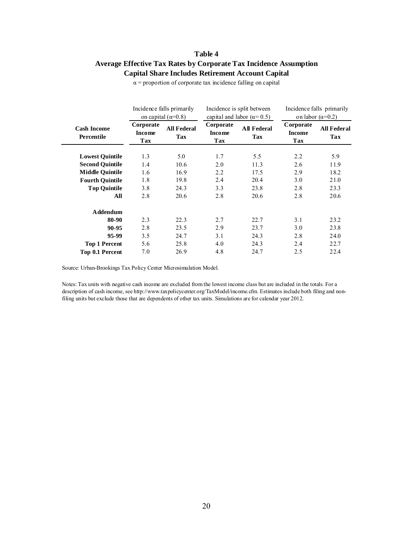### **Capital Share Includes Retirement Account Capital Table 4 Average Effective Tax Rates by Corporate Tax Incidence Assumption**

|                                  | Incidence falls primarily<br>on capital ( $\alpha$ =0.8) |                                  | Incidence is split between<br>capital and labor $(\alpha = 0.5)$ |                                  | Incidence falls primarily<br>on labor $(\alpha=0.2)$ |                           |
|----------------------------------|----------------------------------------------------------|----------------------------------|------------------------------------------------------------------|----------------------------------|------------------------------------------------------|---------------------------|
| <b>Cash Income</b><br>Percentile | Corporate<br><b>Income</b><br>Tax                        | <b>All Federal</b><br><b>Tax</b> | Corporate<br><b>Income</b><br>Tax                                | <b>All Federal</b><br><b>Tax</b> | Corporate<br><b>Income</b><br>Tax                    | <b>All Federal</b><br>Tax |
| <b>Lowest Quintile</b>           | 1.3                                                      | 5.0                              | 1.7                                                              | 5.5                              | 2.2                                                  | 5.9                       |
| <b>Second Quintile</b>           | 1.4                                                      | 10.6                             | 2.0                                                              | 11.3                             | 2.6                                                  | 11.9                      |
| <b>Middle Quintile</b>           | 1.6                                                      | 16.9                             | 2.2                                                              | 17.5                             | 2.9                                                  | 18.2                      |
| <b>Fourth Quintile</b>           | 1.8                                                      | 19.8                             | 2.4                                                              | 20.4                             | 3.0                                                  | 21.0                      |
| <b>Top Quintile</b>              | 3.8                                                      | 24.3                             | 3.3                                                              | 23.8                             | 2.8                                                  | 23.3                      |
| All                              | 2.8                                                      | 20.6                             | 2.8                                                              | 20.6                             | 2.8                                                  | 20.6                      |
| <b>Addendum</b>                  |                                                          |                                  |                                                                  |                                  |                                                      |                           |
| 80-90                            | 2.3                                                      | 22.3                             | 2.7                                                              | 22.7                             | 3.1                                                  | 23.2                      |
| 90-95                            | 2.8                                                      | 23.5                             | 2.9                                                              | 23.7                             | 3.0                                                  | 23.8                      |
| 95-99                            | 3.5                                                      | 24.7                             | 3.1                                                              | 24.3                             | 2.8                                                  | 24.0                      |
| <b>Top 1 Percent</b>             | 5.6                                                      | 25.8                             | 4.0                                                              | 24.3                             | 2.4                                                  | 22.7                      |
| <b>Top 0.1 Percent</b>           | 7.0                                                      | 26.9                             | 4.8                                                              | 24.7                             | 2.5                                                  | 22.4                      |

 $\alpha$  = proportion of corporate tax incidence falling on capital

Source: Urban-Brookings Tax Policy Center Microsimulation Model.

Notes: Tax units with negative cash income are excluded from the lowest income class but are included in the totals. For a description of cash income, see http://www.taxpolicycenter.org/TaxModel/income.cfm. Estimates include both filing and nonfiling units but exclude those that are dependents of other tax units. Simulations are for calendar year 2012.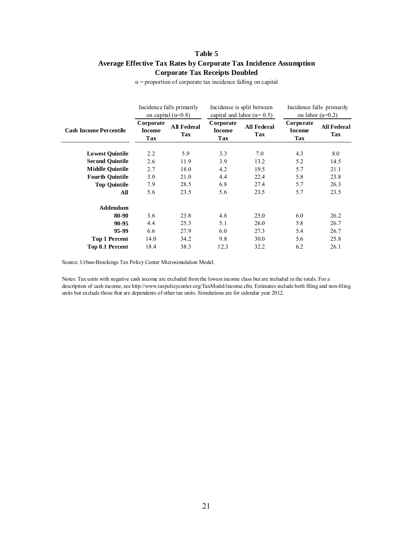### **Corporate Tax Receipts Doubled Table 5 Average Effective Tax Rates by Corporate Tax Incidence Assumption**

|                               | Incidence falls primarily<br>on capital $(\alpha=0.8)$ |                           | Incidence is split between<br>capital and labor ( $\alpha$ = 0.5) |                           | Incidence falls primarily<br>on labor $(\alpha=0.2)$ |                           |
|-------------------------------|--------------------------------------------------------|---------------------------|-------------------------------------------------------------------|---------------------------|------------------------------------------------------|---------------------------|
| <b>Cash Income Percentile</b> | Corporate<br><b>Income</b><br>Tax                      | <b>All Federal</b><br>Tax | Corporate<br><b>Income</b><br>Tax                                 | <b>All Federal</b><br>Tax | Corporate<br><b>Income</b><br>Tax                    | <b>All Federal</b><br>Tax |
| <b>Lowest Quintile</b>        | 2.2                                                    | 5.9                       | 3.3                                                               | 7.0                       | 4.3                                                  | 8.0                       |
| <b>Second Ouintile</b>        | 2.6                                                    | 11.9                      | 3.9                                                               | 13.2                      | 5.2                                                  | 14.5                      |
| <b>Middle Quintile</b>        | 2.7                                                    | 18.0                      | 4.2                                                               | 19.5                      | 5.7                                                  | 21.1                      |
| <b>Fourth Quintile</b>        | 3.0                                                    | 21.0                      | 4.4                                                               | 22.4                      | 5.8                                                  | 23.8                      |
| <b>Top Quintile</b>           | 7.9                                                    | 28.5                      | 6.8                                                               | 27.4                      | 5.7                                                  | 26.3                      |
| All                           | 5.6                                                    | 23.5                      | 5.6                                                               | 23.5                      | 5.7                                                  | 23.5                      |
| Addendum                      |                                                        |                           |                                                                   |                           |                                                      |                           |
| 80-90                         | 3.6                                                    | 23.8                      | 4.8                                                               | 25.0                      | 6.0                                                  | 26.2                      |
| 90-95                         | 4.4                                                    | 25.3                      | 5.1                                                               | 26.0                      | 5.8                                                  | 26.7                      |
| 95-99                         | 6.6                                                    | 27.9                      | 6.0                                                               | 27.3                      | 5.4                                                  | 26.7                      |
| <b>Top 1 Percent</b>          | 14.0                                                   | 34.2                      | 9.8                                                               | 30.0                      | 5.6                                                  | 25.8                      |
| Top 0.1 Percent               | 18.4                                                   | 38.3                      | 12.3                                                              | 32.2                      | 6.2                                                  | 26.1                      |

 $\alpha$  = proportion of corporate tax incidence falling on capital

Source: Urban-Brookings Tax Policy Center Microsimulation Model.

Notes: Tax units with negative cash income are excluded from the lowest income class but are included in the totals. For a description of cash income, see http://www.taxpolicycenter.org/TaxModel/income.cfm. Estimates include both filing and non-filing units but exclude those that are dependents of other tax units. Simulations are for calendar year 2012.